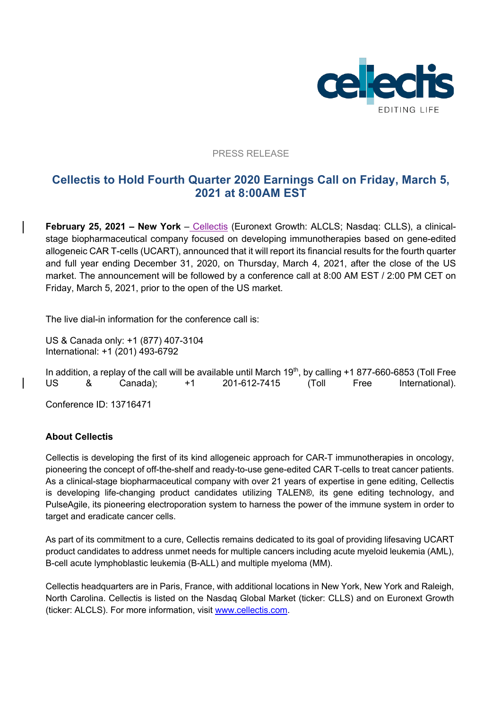

## PRESS RELEASE

# **Cellectis to Hold Fourth Quarter 2020 Earnings Call on Friday, March 5, 2021 at 8:00AM EST**

**February 25, 2021 – New York** – Cellectis (Euronext Growth: ALCLS; Nasdaq: CLLS), a clinicalstage biopharmaceutical company focused on developing immunotherapies based on gene-edited allogeneic CAR T-cells (UCART), announced that it will report its financial results for the fourth quarter and full year ending December 31, 2020, on Thursday, March 4, 2021, after the close of the US market. The announcement will be followed by a conference call at 8:00 AM EST / 2:00 PM CET on Friday, March 5, 2021, prior to the open of the US market.

The live dial-in information for the conference call is:

US & Canada only: +1 (877) 407-3104 International: +1 (201) 493-6792

In addition, a replay of the call will be available until March  $19<sup>th</sup>$ , by calling  $+1$  877-660-6853 (Toll Free US & Canada); +1 201-612-7415 (Toll Free International).

Conference ID: 13716471

# **About Cellectis**

Cellectis is developing the first of its kind allogeneic approach for CAR-T immunotherapies in oncology, pioneering the concept of off-the-shelf and ready-to-use gene-edited CAR T-cells to treat cancer patients. As a clinical-stage biopharmaceutical company with over 21 years of expertise in gene editing, Cellectis is developing life-changing product candidates utilizing TALEN®, its gene editing technology, and PulseAgile, its pioneering electroporation system to harness the power of the immune system in order to target and eradicate cancer cells.

As part of its commitment to a cure, Cellectis remains dedicated to its goal of providing lifesaving UCART product candidates to address unmet needs for multiple cancers including acute myeloid leukemia (AML), B-cell acute lymphoblastic leukemia (B-ALL) and multiple myeloma (MM).

Cellectis headquarters are in Paris, France, with additional locations in New York, New York and Raleigh, North Carolina. Cellectis is listed on the Nasdaq Global Market (ticker: CLLS) and on Euronext Growth (ticker: ALCLS). For more information, visit www.cellectis.com.